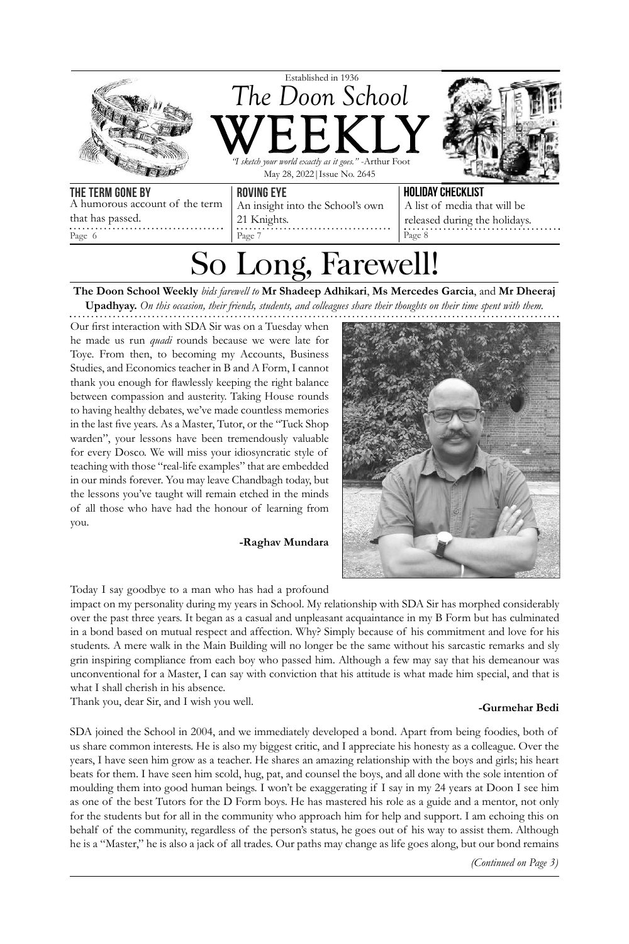

So Long, Farewell

**The Doon School Weekly** *bids farewell to* **Mr Shadeep Adhikari**, **Ms Mercedes Garcia**, and **Mr Dheeraj Upadhyay.** *On this occasion, their friends, students, and colleagues share their thoughts on their time spent with them.*

Our first interaction with SDA Sir was on a Tuesday when he made us run *quadi* rounds because we were late for Toye. From then, to becoming my Accounts, Business Studies, and Economics teacher in B and A Form, I cannot thank you enough for flawlessly keeping the right balance between compassion and austerity. Taking House rounds to having healthy debates, we've made countless memories in the last five years. As a Master, Tutor, or the "Tuck Shop warden", your lessons have been tremendously valuable for every Dosco. We will miss your idiosyncratic style of teaching with those "real-life examples" that are embedded in our minds forever. You may leave Chandbagh today, but the lessons you've taught will remain etched in the minds of all those who have had the honour of learning from you.

Page 6 Page 7

**-Raghav Mundara**



Page 8

Today I say goodbye to a man who has had a profound

impact on my personality during my years in School. My relationship with SDA Sir has morphed considerably over the past three years. It began as a casual and unpleasant acquaintance in my B Form but has culminated in a bond based on mutual respect and affection. Why? Simply because of his commitment and love for his students. A mere walk in the Main Building will no longer be the same without his sarcastic remarks and sly grin inspiring compliance from each boy who passed him. Although a few may say that his demeanour was unconventional for a Master, I can say with conviction that his attitude is what made him special, and that is what I shall cherish in his absence.

Thank you, dear Sir, and I wish you well. **-Gurmehar Bedi**

SDA joined the School in 2004, and we immediately developed a bond. Apart from being foodies, both of us share common interests. He is also my biggest critic, and I appreciate his honesty as a colleague. Over the years, I have seen him grow as a teacher. He shares an amazing relationship with the boys and girls; his heart beats for them. I have seen him scold, hug, pat, and counsel the boys, and all done with the sole intention of moulding them into good human beings. I won't be exaggerating if I say in my 24 years at Doon I see him as one of the best Tutors for the D Form boys. He has mastered his role as a guide and a mentor, not only for the students but for all in the community who approach him for help and support. I am echoing this on behalf of the community, regardless of the person's status, he goes out of his way to assist them. Although he is a "Master," he is also a jack of all trades. Our paths may change as life goes along, but our bond remains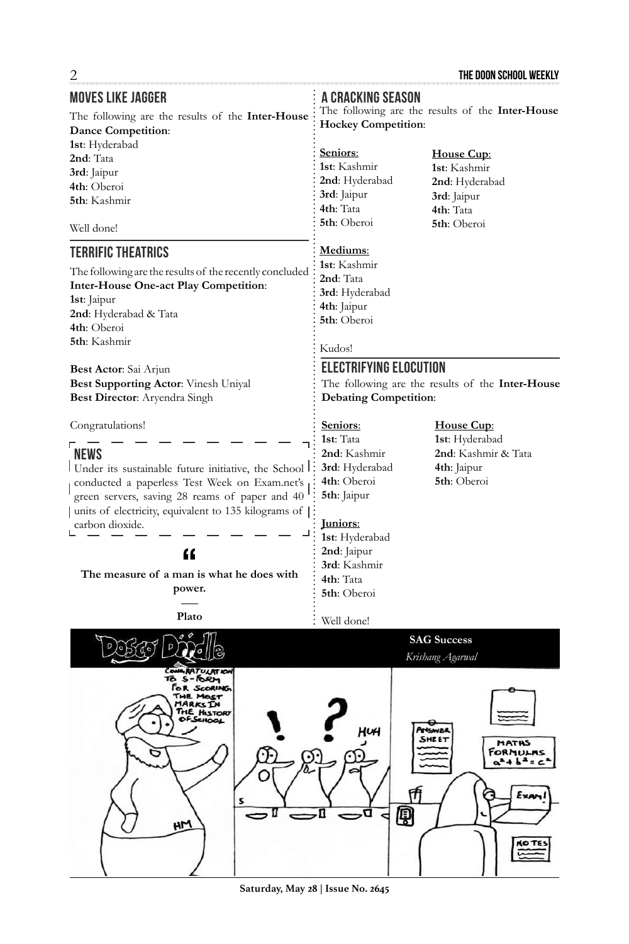| <b>MOVES LIKE JAGGER</b>                                | A CRACKING SEASON                                |                           |
|---------------------------------------------------------|--------------------------------------------------|---------------------------|
| The following are the results of the Inter-House        | The following are the results of the Inter-House |                           |
| <b>Dance Competition:</b>                               | <b>Hockey Competition:</b>                       |                           |
| 1st: Hyderabad                                          |                                                  |                           |
| 2nd: Tata                                               | Seniors:                                         | House Cup:                |
| 3rd: Jaipur                                             | 1st: Kashmir                                     | 1st: Kashmir              |
| 4th: Oberoi                                             | 2nd: Hyderabad                                   | 2nd: Hyderabad            |
| 5th: Kashmir                                            | 3rd: Jaipur                                      | 3rd: Jaipur               |
|                                                         | 4th: Tata                                        | 4th: Tata                 |
| Well done!                                              | 5th: Oberoi                                      | 5th: Oberoi               |
| <b>TERRIFIC THEATRICS</b>                               | Mediums:<br>1st: Kashmir                         |                           |
| The following are the results of the recently concluded | 2nd: Tata                                        |                           |
| <b>Inter-House One-act Play Competition:</b>            | 3rd: Hyderabad                                   |                           |
| 1st: Jaipur                                             | 4th: Jaipur                                      |                           |
| 2nd: Hyderabad & Tata                                   | 5th: Oberoi                                      |                           |
| 4th: Oberoi                                             |                                                  |                           |
| 5th: Kashmir                                            | Kudos!                                           |                           |
| Best Actor: Sai Arjun                                   | <b>ELECTRIFYING ELOCUTION</b>                    |                           |
| Best Supporting Actor: Vinesh Uniyal                    | The following are the results of the Inter-House |                           |
| Best Director: Aryendra Singh                           | <b>Debating Competition:</b>                     |                           |
| Congratulations!                                        | Seniors:                                         | House Cup:                |
|                                                         | 1st: Tata                                        | 1st: Hyderabad            |
| <b>NEWS</b>                                             | 2nd: Kashmir                                     | 2nd: Kashmir & Tata       |
| Under its sustainable future initiative, the School     | 3rd: Hyderabad                                   | 4th: Jaipur               |
| conducted a paperless Test Week on Exam.net's           | 4th: Oberoi                                      | 5th: Oberoi               |
| green servers, saving 28 reams of paper and 40          | 5th: Jaipur                                      |                           |
| units of electricity, equivalent to 135 kilograms of    |                                                  |                           |
| carbon dioxide.                                         | <u> Juniors:</u>                                 |                           |
|                                                         | 1st: Hyderabad                                   |                           |
| $\mathbf{f}$                                            | 2nd: Jaipur                                      |                           |
| The measure of a man is what he does with               | 3rd: Kashmir                                     |                           |
| power.                                                  | 4th: Tata                                        |                           |
|                                                         | 5th: Oberoi                                      |                           |
| Plato                                                   | Well done!                                       |                           |
|                                                         |                                                  | <b>SAG Success</b>        |
| CONGRATULATION                                          |                                                  | Krishang Agarwal          |
| $S - R$<br>ъ<br>FOR SCORING                             |                                                  |                           |
| THE MOST<br>MARKS IN                                    |                                                  |                           |
| THE HISTORY<br>OFSEHOOL                                 |                                                  |                           |
|                                                         | lщ                                               | ANSWEI                    |
|                                                         |                                                  | SHEET<br>MATHS<br>ORMULAS |
|                                                         |                                                  | $+ h^2 = c$               |
|                                                         |                                                  |                           |
|                                                         |                                                  | Exav                      |
|                                                         |                                                  |                           |
| H <sub>M</sub>                                          | 圓                                                |                           |
|                                                         |                                                  |                           |
|                                                         |                                                  |                           |
|                                                         |                                                  |                           |
|                                                         |                                                  |                           |

**Saturday, May 28 | Issue No. 2645**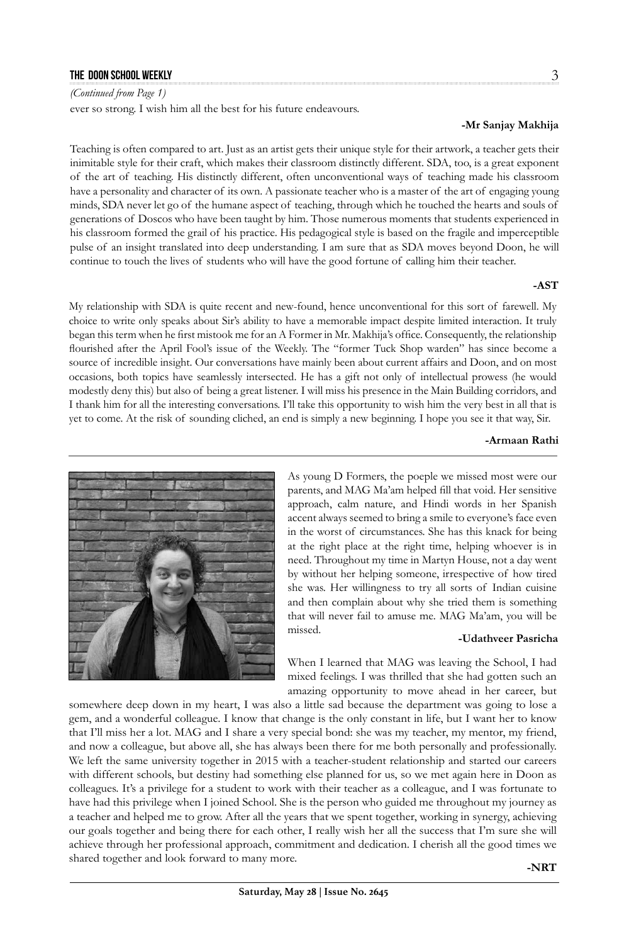### **the doon school weekly** 3

*(Continued from Page 1)*

ever so strong. I wish him all the best for his future endeavours.

### **-Mr Sanjay Makhija**

Teaching is often compared to art. Just as an artist gets their unique style for their artwork, a teacher gets their inimitable style for their craft, which makes their classroom distinctly different. SDA, too, is a great exponent of the art of teaching. His distinctly different, often unconventional ways of teaching made his classroom have a personality and character of its own. A passionate teacher who is a master of the art of engaging young minds, SDA never let go of the humane aspect of teaching, through which he touched the hearts and souls of generations of Doscos who have been taught by him. Those numerous moments that students experienced in his classroom formed the grail of his practice. His pedagogical style is based on the fragile and imperceptible pulse of an insight translated into deep understanding. I am sure that as SDA moves beyond Doon, he will continue to touch the lives of students who will have the good fortune of calling him their teacher.

### **-AST**

My relationship with SDA is quite recent and new-found, hence unconventional for this sort of farewell. My choice to write only speaks about Sir's ability to have a memorable impact despite limited interaction. It truly began this term when he first mistook me for an A Former in Mr. Makhija's office. Consequently, the relationship flourished after the April Fool's issue of the Weekly. The "former Tuck Shop warden" has since become a source of incredible insight. Our conversations have mainly been about current affairs and Doon, and on most occasions, both topics have seamlessly intersected. He has a gift not only of intellectual prowess (he would modestly deny this) but also of being a great listener. I will miss his presence in the Main Building corridors, and I thank him for all the interesting conversations. I'll take this opportunity to wish him the very best in all that is yet to come. At the risk of sounding cliched, an end is simply a new beginning. I hope you see it that way, Sir.

### **-Armaan Rathi**

missed.

As young D Formers, the poeple we missed most were our parents, and MAG Ma'am helped fill that void. Her sensitive approach, calm nature, and Hindi words in her Spanish accent always seemed to bring a smile to everyone's face even in the worst of circumstances. She has this knack for being at the right place at the right time, helping whoever is in need. Throughout my time in Martyn House, not a day went by without her helping someone, irrespective of how tired she was. Her willingness to try all sorts of Indian cuisine and then complain about why she tried them is something that will never fail to amuse me. MAG Ma'am, you will be

### **-Udathveer Pasricha**

When I learned that MAG was leaving the School, I had mixed feelings. I was thrilled that she had gotten such an amazing opportunity to move ahead in her career, but

somewhere deep down in my heart, I was also a little sad because the department was going to lose a gem, and a wonderful colleague. I know that change is the only constant in life, but I want her to know that I'll miss her a lot. MAG and I share a very special bond: she was my teacher, my mentor, my friend, and now a colleague, but above all, she has always been there for me both personally and professionally. We left the same university together in 2015 with a teacher-student relationship and started our careers with different schools, but destiny had something else planned for us, so we met again here in Doon as colleagues. It's a privilege for a student to work with their teacher as a colleague, and I was fortunate to have had this privilege when I joined School. She is the person who guided me throughout my journey as a teacher and helped me to grow. After all the years that we spent together, working in synergy, achieving our goals together and being there for each other, I really wish her all the success that I'm sure she will achieve through her professional approach, commitment and dedication. I cherish all the good times we shared together and look forward to many more.

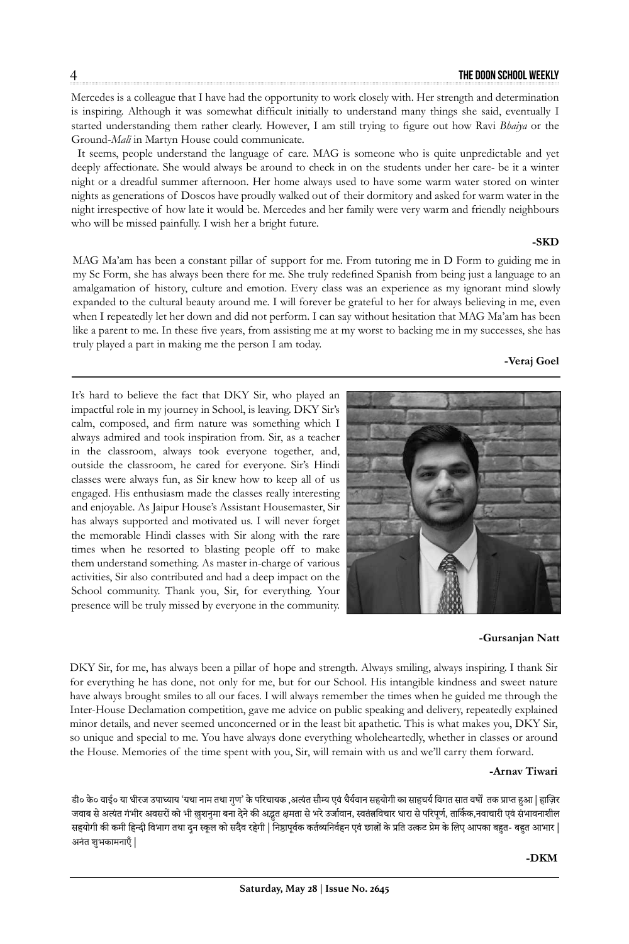Mercedes is a colleague that I have had the opportunity to work closely with. Her strength and determination is inspiring. Although it was somewhat difficult initially to understand many things she said, eventually I started understanding them rather clearly. However, I am still trying to figure out how Ravi *Bhaiya* or the Ground-*Mali* in Martyn House could communicate.

It seems, people understand the language of care. MAG is someone who is quite unpredictable and yet deeply affectionate. She would always be around to check in on the students under her care- be it a winter night or a dreadful summer afternoon. Her home always used to have some warm water stored on winter nights as generations of Doscos have proudly walked out of their dormitory and asked for warm water in the night irrespective of how late it would be. Mercedes and her family were very warm and friendly neighbours who will be missed painfully. I wish her a bright future.

### **-SKD**

MAG Ma'am has been a constant pillar of support for me. From tutoring me in D Form to guiding me in my Sc Form, she has always been there for me. She truly redefined Spanish from being just a language to an amalgamation of history, culture and emotion. Every class was an experience as my ignorant mind slowly expanded to the cultural beauty around me. I will forever be grateful to her for always believing in me, even when I repeatedly let her down and did not perform. I can say without hesitation that MAG Ma'am has been like a parent to me. In these five years, from assisting me at my worst to backing me in my successes, she has truly played a part in making me the person I am today.

### **-Veraj Goel**

It's hard to believe the fact that DKY Sir, who played an impactful role in my journey in School, is leaving. DKY Sir's calm, composed, and firm nature was something which I always admired and took inspiration from. Sir, as a teacher in the classroom, always took everyone together, and, outside the classroom, he cared for everyone. Sir's Hindi classes were always fun, as Sir knew how to keep all of us engaged. His enthusiasm made the classes really interesting and enjoyable. As Jaipur House's Assistant Housemaster, Sir has always supported and motivated us. I will never forget the memorable Hindi classes with Sir along with the rare times when he resorted to blasting people off to make them understand something. As master in-charge of various activities, Sir also contributed and had a deep impact on the School community. Thank you, Sir, for everything. Your presence will be truly missed by everyone in the community.



### **-Gursanjan Natt**

DKY Sir, for me, has always been a pillar of hope and strength. Always smiling, always inspiring. I thank Sir for everything he has done, not only for me, but for our School. His intangible kindness and sweet nature have always brought smiles to all our faces. I will always remember the times when he guided me through the Inter-House Declamation competition, gave me advice on public speaking and delivery, repeatedly explained minor details, and never seemed unconcerned or in the least bit apathetic. This is what makes you, DKY Sir, so unique and special to me. You have always done everything wholeheartedly, whether in classes or around the House. Memories of the time spent with you, Sir, will remain with us and we'll carry them forward.

### **-Arnav Tiwari**

डी० के० वाई० या धीरज उपाध्याय 'यथा नाम तथा गुण' के परिचायक ,अत्यंत सौम्य एवं धैर्यवान सहयोगी का साहचर्य विगत सात वर्षों तक प्राप्त हुआ | हाज़िर जवाब से अत्यंत गंभीर अवसरों को भी ख़ुशनुमा बना देने की अद्भुत क्षमता से भरे उर्जावान, स्वतंत्रविचार धारा से परिपूर्ण, तार्किक,नवाचारी एवं संभावनाशील सहयोगी की कमी हिन्दी विभाग तथा दुन स्कूल को सदैव रहेगी | निष्ठापूर्वक कर्तव्यनिर्वहन एवं छात्रों के प्रति उत्कट प्रेम के लिए आपका बहुत- बहुत आभार | अनंत शुभकामनाएँ |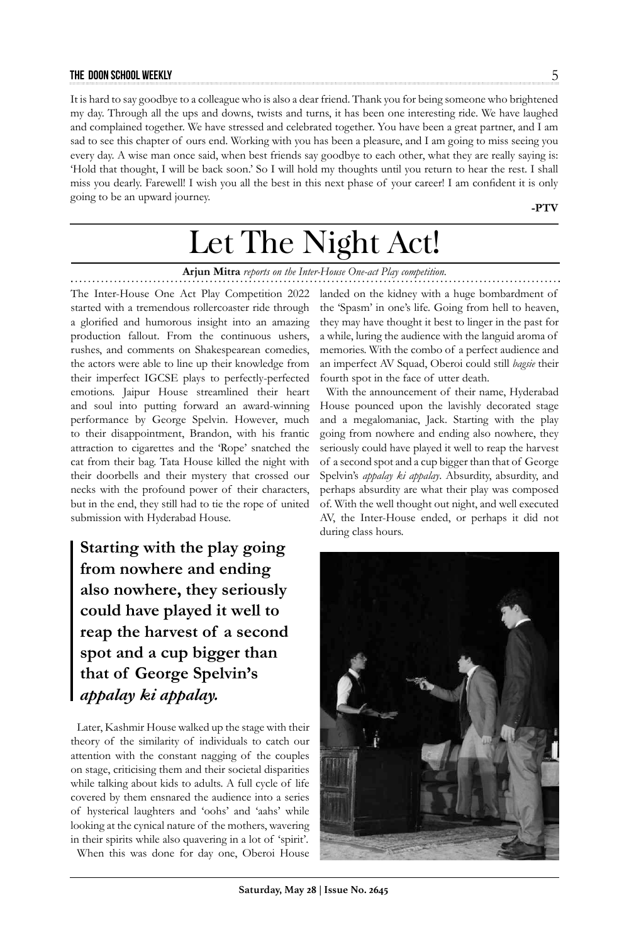### **the doon school weekly** 5

It is hard to say goodbye to a colleague who is also a dear friend. Thank you for being someone who brightened my day. Through all the ups and downs, twists and turns, it has been one interesting ride. We have laughed and complained together. We have stressed and celebrated together. You have been a great partner, and I am sad to see this chapter of ours end. Working with you has been a pleasure, and I am going to miss seeing you every day. A wise man once said, when best friends say goodbye to each other, what they are really saying is: 'Hold that thought, I will be back soon.' So I will hold my thoughts until you return to hear the rest. I shall miss you dearly. Farewell! I wish you all the best in this next phase of your career! I am confident it is only going to be an upward journey.

**-PTV**

# Let The Night Act!

### **Arjun Mitra** *reports on the Inter-House One-act Play competition.*

The Inter-House One Act Play Competition 2022 started with a tremendous rollercoaster ride through a glorified and humorous insight into an amazing production fallout. From the continuous ushers, rushes, and comments on Shakespearean comedies, the actors were able to line up their knowledge from their imperfect IGCSE plays to perfectly-perfected emotions. Jaipur House streamlined their heart and soul into putting forward an award-winning performance by George Spelvin. However, much to their disappointment, Brandon, with his frantic attraction to cigarettes and the 'Rope' snatched the cat from their bag. Tata House killed the night with their doorbells and their mystery that crossed our necks with the profound power of their characters, but in the end, they still had to tie the rope of united submission with Hyderabad House.

**Starting with the play going from nowhere and ending also nowhere, they seriously could have played it well to reap the harvest of a second spot and a cup bigger than that of George Spelvin's**  *appalay ki appalay.*

Later, Kashmir House walked up the stage with their theory of the similarity of individuals to catch our attention with the constant nagging of the couples on stage, criticising them and their societal disparities while talking about kids to adults. A full cycle of life covered by them ensnared the audience into a series of hysterical laughters and 'oohs' and 'aahs' while looking at the cynical nature of the mothers, wavering in their spirits while also quavering in a lot of 'spirit'.

When this was done for day one, Oberoi House

landed on the kidney with a huge bombardment of the 'Spasm' in one's life. Going from hell to heaven, they may have thought it best to linger in the past for a while, luring the audience with the languid aroma of memories. With the combo of a perfect audience and an imperfect AV Squad, Oberoi could still *bagsie* their fourth spot in the face of utter death.

With the announcement of their name, Hyderabad House pounced upon the lavishly decorated stage and a megalomaniac, Jack. Starting with the play going from nowhere and ending also nowhere, they seriously could have played it well to reap the harvest of a second spot and a cup bigger than that of George Spelvin's *appalay ki appalay*. Absurdity, absurdity, and perhaps absurdity are what their play was composed of. With the well thought out night, and well executed AV, the Inter-House ended, or perhaps it did not during class hours.

![](_page_4_Picture_11.jpeg)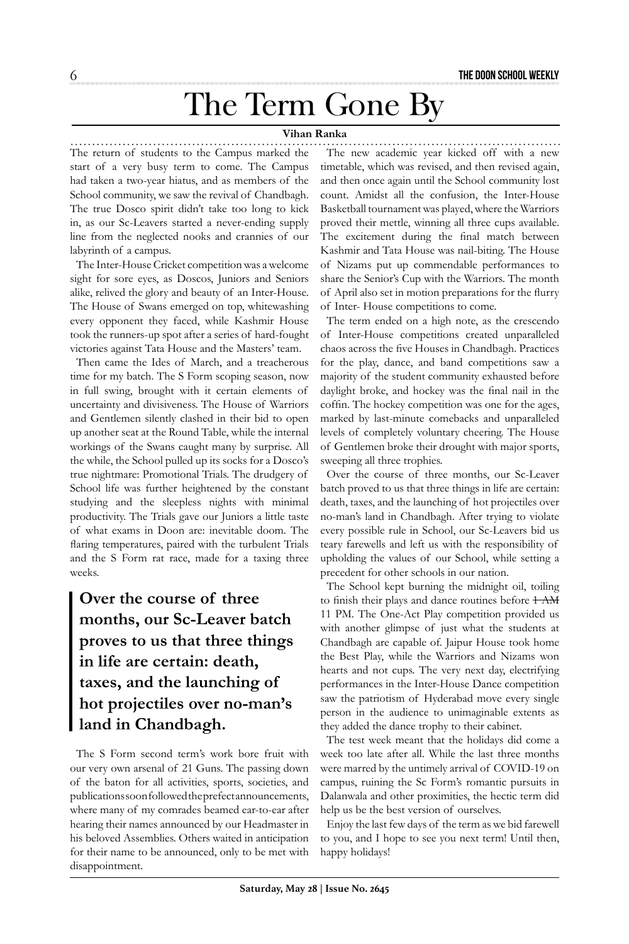# The Term Gone By

### **Vihan Ranka**

The return of students to the Campus marked the start of a very busy term to come. The Campus had taken a two-year hiatus, and as members of the School community, we saw the revival of Chandbagh. The true Dosco spirit didn't take too long to kick in, as our Sc-Leavers started a never-ending supply line from the neglected nooks and crannies of our labyrinth of a campus.

The Inter-House Cricket competition was a welcome sight for sore eyes, as Doscos, Juniors and Seniors alike, relived the glory and beauty of an Inter-House. The House of Swans emerged on top, whitewashing every opponent they faced, while Kashmir House took the runners-up spot after a series of hard-fought victories against Tata House and the Masters' team.

Then came the Ides of March, and a treacherous time for my batch. The S Form scoping season, now in full swing, brought with it certain elements of uncertainty and divisiveness. The House of Warriors and Gentlemen silently clashed in their bid to open up another seat at the Round Table, while the internal workings of the Swans caught many by surprise. All the while, the School pulled up its socks for a Dosco's true nightmare: Promotional Trials. The drudgery of School life was further heightened by the constant studying and the sleepless nights with minimal productivity. The Trials gave our Juniors a little taste of what exams in Doon are: inevitable doom. The flaring temperatures, paired with the turbulent Trials and the S Form rat race, made for a taxing three weeks.

## **Over the course of three months, our Sc-Leaver batch proves to us that three things in life are certain: death, taxes, and the launching of hot projectiles over no-man's land in Chandbagh.**

The S Form second term's work bore fruit with our very own arsenal of 21 Guns. The passing down of the baton for all activities, sports, societies, and publications soon followed the prefect announcements, where many of my comrades beamed ear-to-ear after hearing their names announced by our Headmaster in his beloved Assemblies. Others waited in anticipation for their name to be announced, only to be met with disappointment.

The new academic year kicked off with a new timetable, which was revised, and then revised again, and then once again until the School community lost count. Amidst all the confusion, the Inter-House Basketball tournament was played, where the Warriors proved their mettle, winning all three cups available. The excitement during the final match between Kashmir and Tata House was nail-biting. The House of Nizams put up commendable performances to share the Senior's Cup with the Warriors. The month of April also set in motion preparations for the flurry of Inter- House competitions to come.

The term ended on a high note, as the crescendo of Inter-House competitions created unparalleled chaos across the five Houses in Chandbagh. Practices for the play, dance, and band competitions saw a majority of the student community exhausted before daylight broke, and hockey was the final nail in the coffin. The hockey competition was one for the ages, marked by last-minute comebacks and unparalleled levels of completely voluntary cheering. The House of Gentlemen broke their drought with major sports, sweeping all three trophies.

Over the course of three months, our Sc-Leaver batch proved to us that three things in life are certain: death, taxes, and the launching of hot projectiles over no-man's land in Chandbagh. After trying to violate every possible rule in School, our Sc-Leavers bid us teary farewells and left us with the responsibility of upholding the values of our School, while setting a precedent for other schools in our nation.

The School kept burning the midnight oil, toiling to finish their plays and dance routines before  $1-AM$ 11 PM. The One-Act Play competition provided us with another glimpse of just what the students at Chandbagh are capable of. Jaipur House took home the Best Play, while the Warriors and Nizams won hearts and not cups. The very next day, electrifying performances in the Inter-House Dance competition saw the patriotism of Hyderabad move every single person in the audience to unimaginable extents as they added the dance trophy to their cabinet.

The test week meant that the holidays did come a week too late after all. While the last three months were marred by the untimely arrival of COVID-19 on campus, ruining the Sc Form's romantic pursuits in Dalanwala and other proximities, the hectic term did help us be the best version of ourselves.

Enjoy the last few days of the term as we bid farewell to you, and I hope to see you next term! Until then, happy holidays!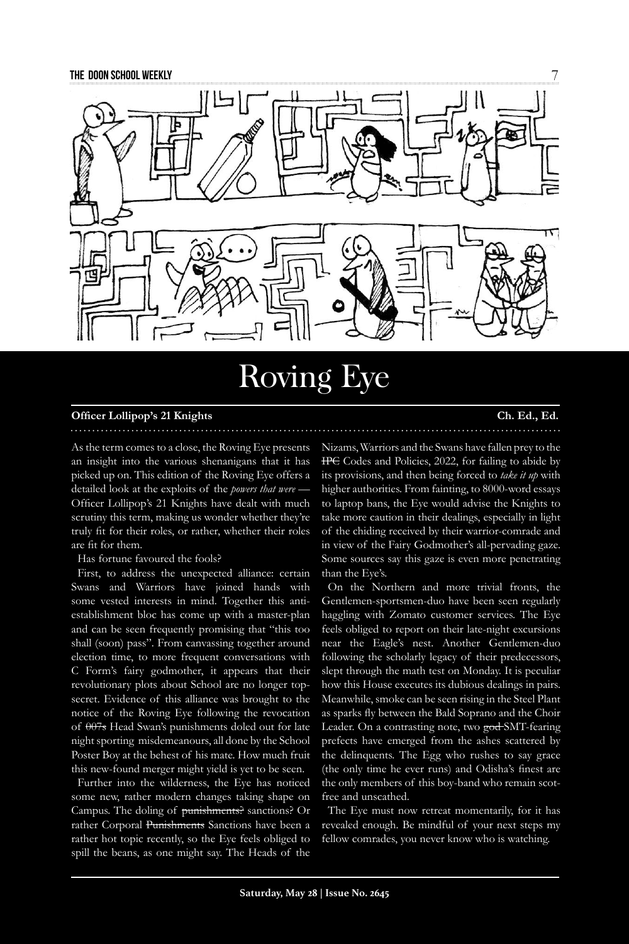![](_page_6_Picture_1.jpeg)

# Roving Eye

### **Officer Lollipop's 21 Knights Ch. Ed., Ed.**

As the term comes to a close, the Roving Eye presents an insight into the various shenanigans that it has picked up on. This edition of the Roving Eye offers a detailed look at the exploits of the *powers that were* -Officer Lollipop's 21 Knights have dealt with much scrutiny this term, making us wonder whether they're truly fit for their roles, or rather, whether their roles are fit for them.

Has fortune favoured the fools?

First, to address the unexpected alliance: certain Swans and Warriors have joined hands with some vested interests in mind. Together this antiestablishment bloc has come up with a master-plan and can be seen frequently promising that "this too shall (soon) pass". From canvassing together around election time, to more frequent conversations with C Form's fairy godmother, it appears that their revolutionary plots about School are no longer topsecret. Evidence of this alliance was brought to the notice of the Roving Eye following the revocation of  $\theta$ 07s Head Swan's punishments doled out for late night sporting misdemeanours, all done by the School Poster Boy at the behest of his mate. How much fruit this new-found merger might yield is yet to be seen.

Further into the wilderness, the Eye has noticed some new, rather modern changes taking shape on Campus. The doling of punishments? sanctions? Or rather Corporal Punishments Sanctions have been a rather hot topic recently, so the Eye feels obliged to spill the beans, as one might say. The Heads of the

Nizams, Warriors and the Swans have fallen prey to the IPC Codes and Policies, 2022, for failing to abide by its provisions, and then being forced to *take it up* with higher authorities. From fainting, to 8000-word essays to laptop bans, the Eye would advise the Knights to take more caution in their dealings, especially in light of the chiding received by their warrior-comrade and in view of the Fairy Godmother's all-pervading gaze. Some sources say this gaze is even more penetrating than the Eye's.

On the Northern and more trivial fronts, the Gentlemen-sportsmen-duo have been seen regularly haggling with Zomato customer services. The Eye feels obliged to report on their late-night excursions near the Eagle's nest. Another Gentlemen-duo following the scholarly legacy of their predecessors, slept through the math test on Monday. It is peculiar how this House executes its dubious dealings in pairs. Meanwhile, smoke can be seen rising in the Steel Plant as sparks fly between the Bald Soprano and the Choir Leader. On a contrasting note, two god SMT-fearing prefects have emerged from the ashes scattered by the delinquents. The Egg who rushes to say grace (the only time he ever runs) and Odisha's finest are the only members of this boy-band who remain scotfree and unscathed.

The Eye must now retreat momentarily, for it has revealed enough. Be mindful of your next steps my fellow comrades, you never know who is watching.